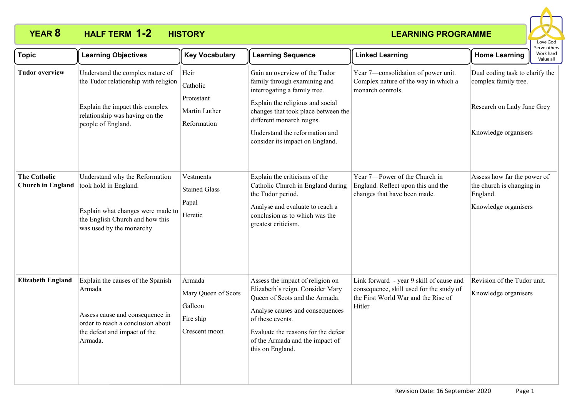## **YEAR 8 HALF TERM HISTORY 1-2**



| <b>Topic</b>                                    | <b>Learning Objectives</b>                                                                                                                                          | <b>Key Vocabulary</b>                                                  | <b>Learning Sequence</b>                                                                                                                                                                                                                                                   | <b>Linked Learning</b>                                                                                                                | <b>Home Learning</b>                                                                                          | Serve others<br>Work hard<br>Value all |
|-------------------------------------------------|---------------------------------------------------------------------------------------------------------------------------------------------------------------------|------------------------------------------------------------------------|----------------------------------------------------------------------------------------------------------------------------------------------------------------------------------------------------------------------------------------------------------------------------|---------------------------------------------------------------------------------------------------------------------------------------|---------------------------------------------------------------------------------------------------------------|----------------------------------------|
| <b>Tudor overview</b>                           | Understand the complex nature of<br>the Tudor relationship with religion<br>Explain the impact this complex<br>relationship was having on the<br>people of England. | Heir<br>Catholic<br>Protestant<br>Martin Luther<br>Reformation         | Gain an overview of the Tudor<br>family through examining and<br>interrogating a family tree.<br>Explain the religious and social<br>changes that took place between the<br>different monarch reigns.<br>Understand the reformation and<br>consider its impact on England. | Year 7-consolidation of power unit.<br>Complex nature of the way in which a<br>monarch controls.                                      | Dual coding task to clarify the<br>complex family tree.<br>Research on Lady Jane Grey<br>Knowledge organisers |                                        |
| <b>The Catholic</b><br><b>Church in England</b> | Understand why the Reformation<br>took hold in England.<br>Explain what changes were made to<br>the English Church and how this<br>was used by the monarchy         | Vestments<br><b>Stained Glass</b><br>Papal<br>Heretic                  | Explain the criticisms of the<br>Catholic Church in England during<br>the Tudor period.<br>Analyse and evaluate to reach a<br>conclusion as to which was the<br>greatest criticism.                                                                                        | Year 7-Power of the Church in<br>England. Reflect upon this and the<br>changes that have been made.                                   | Assess how far the power of<br>the church is changing in<br>England.<br>Knowledge organisers                  |                                        |
| <b>Elizabeth England</b>                        | Explain the causes of the Spanish<br>Armada<br>Assess cause and consequence in<br>order to reach a conclusion about<br>the defeat and impact of the<br>Armada.      | Armada<br>Mary Queen of Scots<br>Galleon<br>Fire ship<br>Crescent moon | Assess the impact of religion on<br>Elizabeth's reign. Consider Mary<br>Queen of Scots and the Armada.<br>Analyse causes and consequences<br>of these events.<br>Evaluate the reasons for the defeat<br>of the Armada and the impact of<br>this on England.                | Link forward - year 9 skill of cause and<br>consequence, skill used for the study of<br>the First World War and the Rise of<br>Hitler | Revision of the Tudor unit.<br>Knowledge organisers                                                           |                                        |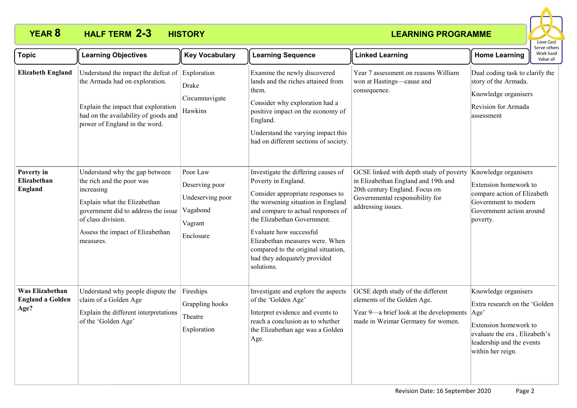# **YEAR 8 HALF TERM 2-3 HISTORY**



| <b>Topic</b>                                       | <b>Learning Objectives</b>                                                                                                                                                                                              | <b>Key Vocabulary</b>                                                              | <b>Learning Sequence</b>                                                                                                                                                                                                                                                                                                                                      | <b>Linked Learning</b>                                                                                                                                                    | serve others<br>Work hard<br><b>Home Learning</b><br>Value all                                                                                                            |
|----------------------------------------------------|-------------------------------------------------------------------------------------------------------------------------------------------------------------------------------------------------------------------------|------------------------------------------------------------------------------------|---------------------------------------------------------------------------------------------------------------------------------------------------------------------------------------------------------------------------------------------------------------------------------------------------------------------------------------------------------------|---------------------------------------------------------------------------------------------------------------------------------------------------------------------------|---------------------------------------------------------------------------------------------------------------------------------------------------------------------------|
| <b>Elizabeth England</b>                           | Understand the impact the defeat of<br>the Armada had on exploration.<br>Explain the impact that exploration<br>had on the availability of goods and<br>power of England in the word.                                   | Exploration<br>Drake<br>Circumnavigate<br>Hawkins                                  | Examine the newly discovered<br>lands and the riches attained from<br>them.<br>Consider why exploration had a<br>positive impact on the economy of<br>England.<br>Understand the varying impact this<br>had on different sections of society.                                                                                                                 | Year 7 assessment on reasons William<br>won at Hastings-cause and<br>consequence.                                                                                         | Dual coding task to clarify the<br>story of the Armada.<br>Knowledge organisers<br>Revision for Armada<br>assessment                                                      |
| Poverty in<br>Elizabethan<br><b>England</b>        | Understand why the gap between<br>the rich and the poor was<br>increasing<br>Explain what the Elizabethan<br>government did to address the issue<br>of class division.<br>Assess the impact of Elizabethan<br>measures. | Poor Law<br>Deserving poor<br>Undeserving poor<br>Vagabond<br>Vagrant<br>Enclosure | Investigate the differing causes of<br>Poverty in England.<br>Consider appropriate responses to<br>the worsening situation in England<br>and compare to actual responses of<br>the Elizabethan Government.<br>Evaluate how successful<br>Elizabethan measures were. When<br>compared to the original situation,<br>had they adequately provided<br>solutions. | GCSE linked with depth study of poverty<br>in Elizabethan England and 19th and<br>20th century England. Focus on<br>Governmental responsibility for<br>addressing issues. | Knowledge organisers<br>Extension homework to<br>compare action of Elizabeth<br>Government to modern<br>Government action around<br>poverty.                              |
| Was Elizabethan<br><b>England a Golden</b><br>Age? | Understand why people dispute the<br>claim of a Golden Age<br>Explain the different interpretations<br>of the 'Golden Age'                                                                                              | Fireships<br>Grappling hooks<br>Theatre<br>Exploration                             | Investigate and explore the aspects<br>of the 'Golden Age'<br>Interpret evidence and events to<br>reach a conclusion as to whether<br>the Elizabethan age was a Golden<br>Age.                                                                                                                                                                                | GCSE depth study of the different<br>elements of the Golden Age.<br>Year 9-a brief look at the developments<br>made in Weimar Germany for women.                          | Knowledge organisers<br>Extra research on the 'Golden<br>Age'<br>Extension homework to<br>evaluate the era, Elizabeth's<br>leadership and the events<br>within her reign. |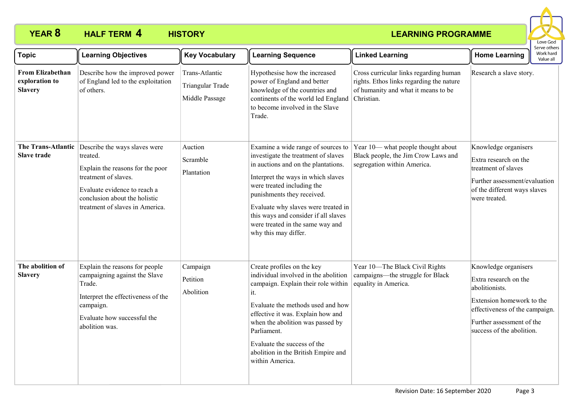## **YEAR 8 HALF TERM 4 HISTORY**



| <b>Topic</b>                                                | <b>Learning Objectives</b>                                                                                                                                                                                                   | <b>Key Vocabulary</b>                                | <b>Learning Sequence</b>                                                                                                                                                                                                                                                                                                                                      | <b>Linked Learning</b>                                                                                                                  | <b>Home Learning</b>                                                                                                                                                                     | Serve others<br>Work hard<br>Value all |
|-------------------------------------------------------------|------------------------------------------------------------------------------------------------------------------------------------------------------------------------------------------------------------------------------|------------------------------------------------------|---------------------------------------------------------------------------------------------------------------------------------------------------------------------------------------------------------------------------------------------------------------------------------------------------------------------------------------------------------------|-----------------------------------------------------------------------------------------------------------------------------------------|------------------------------------------------------------------------------------------------------------------------------------------------------------------------------------------|----------------------------------------|
| <b>From Elizabethan</b><br>exploration to<br><b>Slavery</b> | Describe how the improved power<br>of England led to the exploitation<br>of others.                                                                                                                                          | Trans-Atlantic<br>Triangular Trade<br>Middle Passage | Hypothesise how the increased<br>power of England and better<br>knowledge of the countries and<br>continents of the world led England<br>to become involved in the Slave<br>Trade.                                                                                                                                                                            | Cross curricular links regarding human<br>rights. Ethos links regarding the nature<br>of humanity and what it means to be<br>Christian. | Research a slave story.                                                                                                                                                                  |                                        |
| <b>Slave trade</b>                                          | The Trans-Atlantic Describe the ways slaves were<br>treated.<br>Explain the reasons for the poor<br>treatment of slaves.<br>Evaluate evidence to reach a<br>conclusion about the holistic<br>treatment of slaves in America. | Auction<br>Scramble<br>Plantation                    | Examine a wide range of sources to<br>investigate the treatment of slaves<br>in auctions and on the plantations.<br>Interpret the ways in which slaves<br>were treated including the<br>punishments they received.<br>Evaluate why slaves were treated in<br>this ways and consider if all slaves<br>were treated in the same way and<br>why this may differ. | Year 10- what people thought about<br>Black people, the Jim Crow Laws and<br>segregation within America.                                | Knowledge organisers<br>Extra research on the<br>treatment of slaves<br>Further assessment/evaluation<br>of the different ways slaves<br>were treated.                                   |                                        |
| The abolition of<br><b>Slavery</b>                          | Explain the reasons for people<br>campaigning against the Slave<br>Trade.<br>Interpret the effectiveness of the<br>campaign.<br>Evaluate how successful the<br>abolition was.                                                | Campaign<br>Petition<br>Abolition                    | Create profiles on the key<br>individual involved in the abolition<br>campaign. Explain their role within<br>it.<br>Evaluate the methods used and how<br>effective it was. Explain how and<br>when the abolition was passed by<br>Parliament.<br>Evaluate the success of the<br>abolition in the British Empire and<br>within America.                        | Year 10-The Black Civil Rights<br>campaigns—the struggle for Black<br>equality in America.                                              | Knowledge organisers<br>Extra research on the<br>abolitionists.<br>Extension homework to the<br>effectiveness of the campaign.<br>Further assessment of the<br>success of the abolition. |                                        |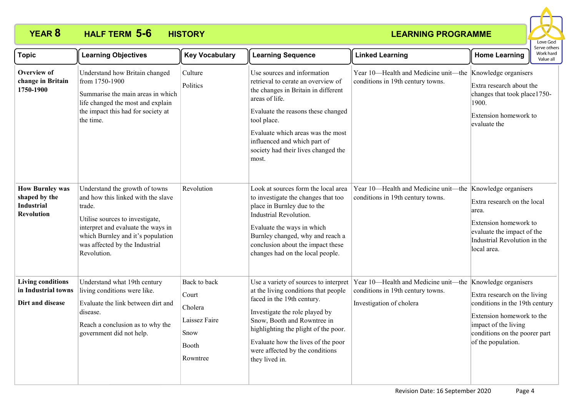# **YEAR 8 HALF TERM 5-6 HISTORY**



| <b>Topic</b>                                                                      | <b>Learning Objectives</b>                                                                                                                                                                                                                    | <b>Key Vocabulary</b>                                                          | <b>Learning Sequence</b>                                                                                                                                                                                                                                                                                        | <b>Linked Learning</b>                                                                                | <b>Home Learning</b>                                                                                                                                                                               | : וסכו עם טנו וכו<br>Work hard<br>Value all |
|-----------------------------------------------------------------------------------|-----------------------------------------------------------------------------------------------------------------------------------------------------------------------------------------------------------------------------------------------|--------------------------------------------------------------------------------|-----------------------------------------------------------------------------------------------------------------------------------------------------------------------------------------------------------------------------------------------------------------------------------------------------------------|-------------------------------------------------------------------------------------------------------|----------------------------------------------------------------------------------------------------------------------------------------------------------------------------------------------------|---------------------------------------------|
| <b>Overview of</b><br>change in Britain<br>1750-1900                              | Understand how Britain changed<br>from 1750-1900<br>Summarise the main areas in which<br>life changed the most and explain<br>the impact this had for society at<br>the time.                                                                 | Culture<br>Politics                                                            | Use sources and information<br>retrieval to cerate an overview of<br>the changes in Britain in different<br>areas of life.<br>Evaluate the reasons these changed<br>tool place.<br>Evaluate which areas was the most<br>influenced and which part of<br>society had their lives changed the<br>most.            | Year 10-Health and Medicine unit-the<br>conditions in 19th century towns.                             | Knowledge organisers<br>Extra research about the<br>changes that took place1750-<br>1900.<br>Extension homework to<br>evaluate the                                                                 |                                             |
| <b>How Burnley was</b><br>shaped by the<br><b>Industrial</b><br><b>Revolution</b> | Understand the growth of towns<br>and how this linked with the slave<br>trade.<br>Utilise sources to investigate,<br>interpret and evaluate the ways in<br>which Burnley and it's population<br>was affected by the Industrial<br>Revolution. | Revolution                                                                     | Look at sources form the local area<br>to investigate the changes that too<br>place in Burnley due to the<br>Industrial Revolution.<br>Evaluate the ways in which<br>Burnley changed, why and reach a<br>conclusion about the impact these<br>changes had on the local people.                                  | Year 10-Health and Medicine unit-the<br>conditions in 19th century towns.                             | Knowledge organisers<br>Extra research on the local<br>area.<br>Extension homework to<br>evaluate the impact of the<br>Industrial Revolution in the<br>local area.                                 |                                             |
| <b>Living conditions</b><br>in Industrial towns<br>Dirt and disease               | Understand what 19th century<br>living conditions were like.<br>Evaluate the link between dirt and<br>disease.<br>Reach a conclusion as to why the<br>government did not help.                                                                | Back to back<br>Court<br>Cholera<br>Laissez Faire<br>Snow<br>Booth<br>Rowntree | Use a variety of sources to interpret<br>at the living conditions that people<br>faced in the 19th century.<br>Investigate the role played by<br>Snow, Booth and Rowntree in<br>highlighting the plight of the poor.<br>Evaluate how the lives of the poor<br>were affected by the conditions<br>they lived in. | Year 10-Health and Medicine unit-the<br>conditions in 19th century towns.<br>Investigation of cholera | Knowledge organisers<br>Extra research on the living<br>conditions in the 19th century<br>Extension homework to the<br>impact of the living<br>conditions on the poorer part<br>of the population. |                                             |